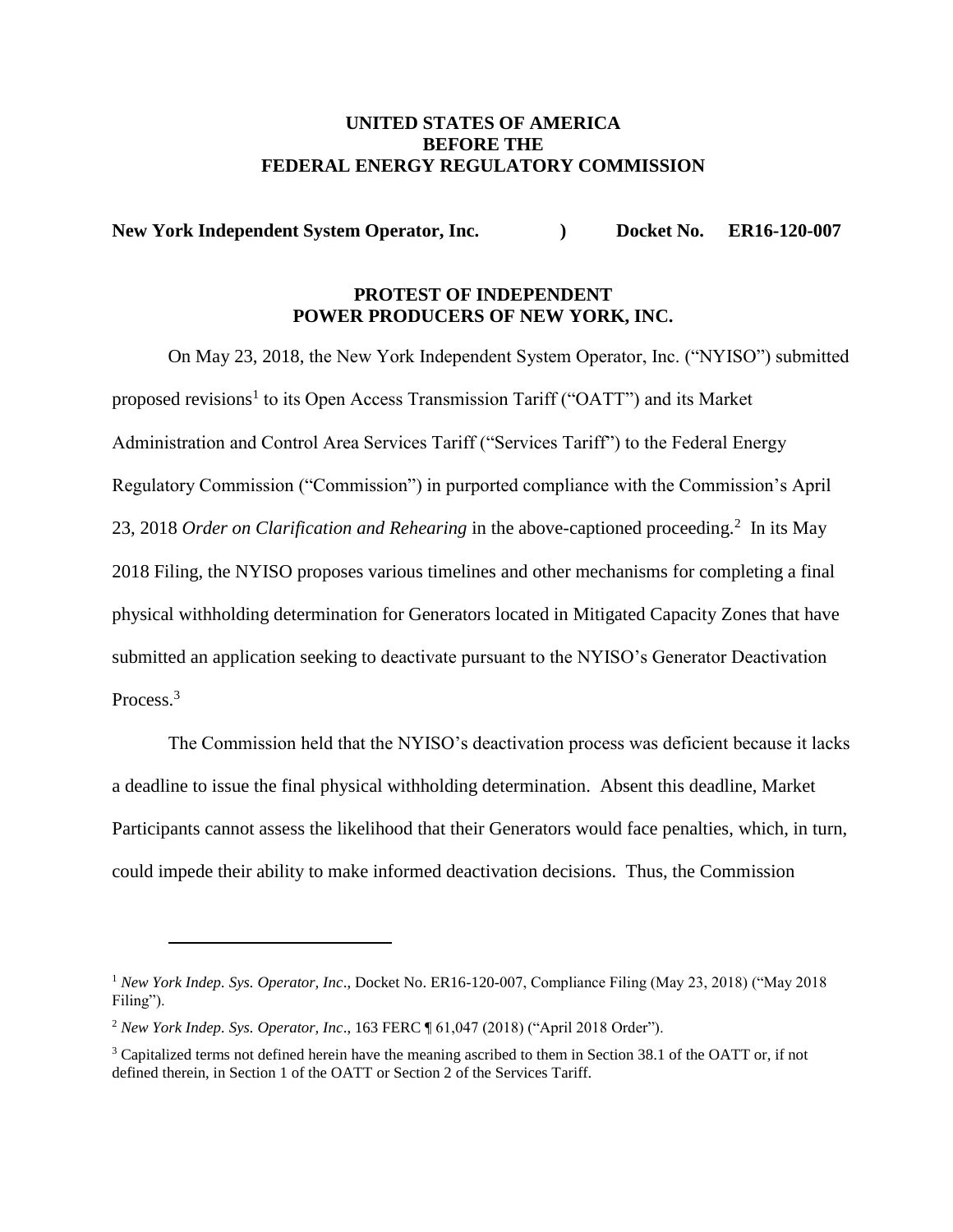### **UNITED STATES OF AMERICA BEFORE THE FEDERAL ENERGY REGULATORY COMMISSION**

**New York Independent System Operator, Inc. (a) Bocket No. ER16-120-007** 

## **PROTEST OF INDEPENDENT POWER PRODUCERS OF NEW YORK, INC.**

On May 23, 2018, the New York Independent System Operator, Inc. ("NYISO") submitted proposed revisions<sup>1</sup> to its Open Access Transmission Tariff ("OATT") and its Market Administration and Control Area Services Tariff ("Services Tariff") to the Federal Energy Regulatory Commission ("Commission") in purported compliance with the Commission's April 23, 2018 *Order on Clarification and Rehearing* in the above-captioned proceeding.<sup>2</sup> In its May 2018 Filing, the NYISO proposes various timelines and other mechanisms for completing a final physical withholding determination for Generators located in Mitigated Capacity Zones that have submitted an application seeking to deactivate pursuant to the NYISO's Generator Deactivation Process.<sup>3</sup>

The Commission held that the NYISO's deactivation process was deficient because it lacks a deadline to issue the final physical withholding determination. Absent this deadline, Market Participants cannot assess the likelihood that their Generators would face penalties, which, in turn, could impede their ability to make informed deactivation decisions. Thus, the Commission

<sup>1</sup> *New York Indep. Sys. Operator, Inc*., Docket No. ER16-120-007, Compliance Filing (May 23, 2018) ("May 2018 Filing").

<sup>2</sup> *New York Indep. Sys. Operator, Inc*., 163 FERC ¶ 61,047 (2018) ("April 2018 Order").

<sup>&</sup>lt;sup>3</sup> Capitalized terms not defined herein have the meaning ascribed to them in Section 38.1 of the OATT or, if not defined therein, in Section 1 of the OATT or Section 2 of the Services Tariff.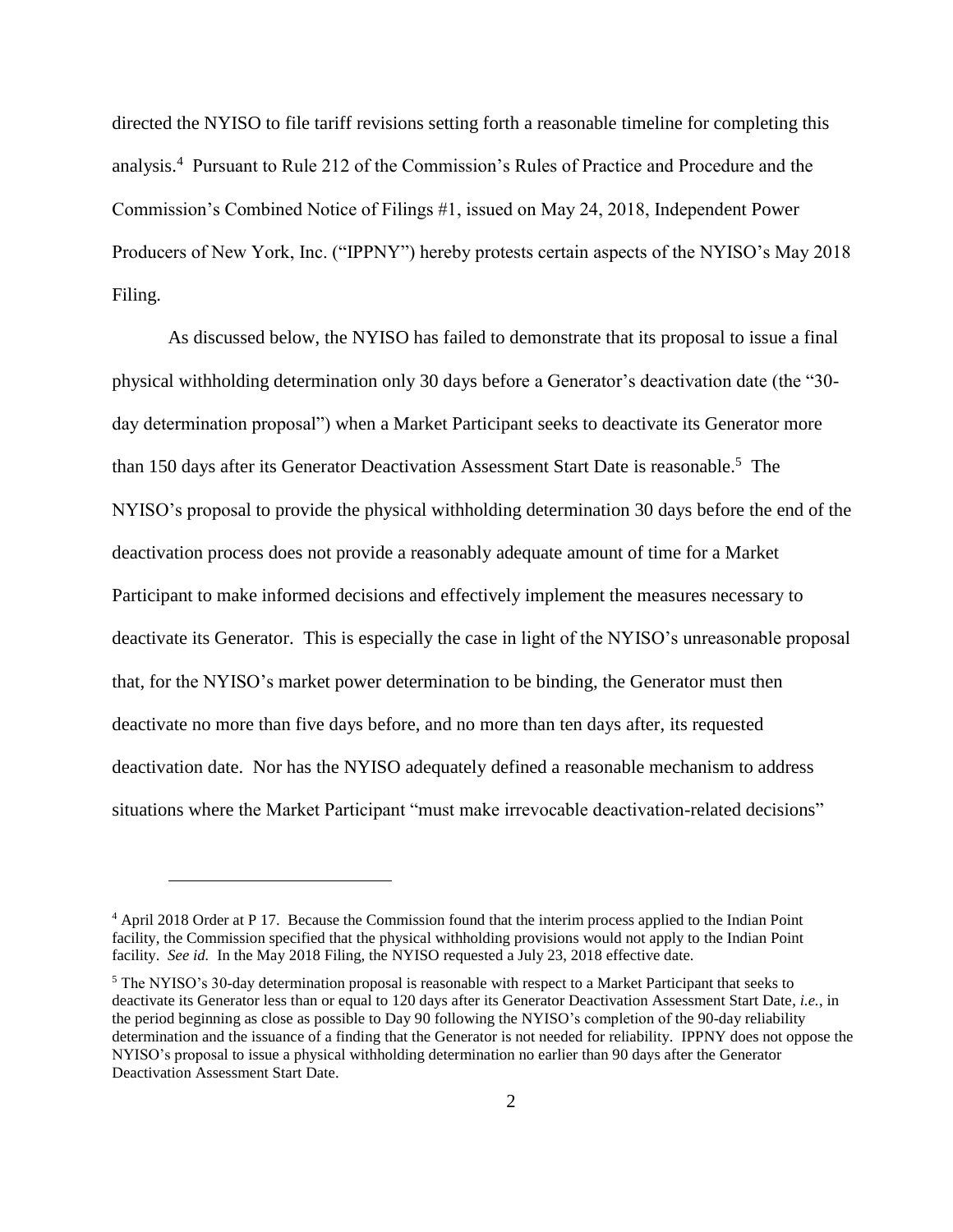directed the NYISO to file tariff revisions setting forth a reasonable timeline for completing this analysis.<sup>4</sup> Pursuant to Rule 212 of the Commission's Rules of Practice and Procedure and the Commission's Combined Notice of Filings #1, issued on May 24, 2018, Independent Power Producers of New York, Inc. ("IPPNY") hereby protests certain aspects of the NYISO's May 2018 Filing.

As discussed below, the NYISO has failed to demonstrate that its proposal to issue a final physical withholding determination only 30 days before a Generator's deactivation date (the "30 day determination proposal") when a Market Participant seeks to deactivate its Generator more than 150 days after its Generator Deactivation Assessment Start Date is reasonable.<sup>5</sup> The NYISO's proposal to provide the physical withholding determination 30 days before the end of the deactivation process does not provide a reasonably adequate amount of time for a Market Participant to make informed decisions and effectively implement the measures necessary to deactivate its Generator. This is especially the case in light of the NYISO's unreasonable proposal that, for the NYISO's market power determination to be binding, the Generator must then deactivate no more than five days before, and no more than ten days after, its requested deactivation date. Nor has the NYISO adequately defined a reasonable mechanism to address situations where the Market Participant "must make irrevocable deactivation-related decisions"

<sup>4</sup> April 2018 Order at P 17. Because the Commission found that the interim process applied to the Indian Point facility, the Commission specified that the physical withholding provisions would not apply to the Indian Point facility. *See id.* In the May 2018 Filing, the NYISO requested a July 23, 2018 effective date.

<sup>5</sup> The NYISO's 30-day determination proposal is reasonable with respect to a Market Participant that seeks to deactivate its Generator less than or equal to 120 days after its Generator Deactivation Assessment Start Date, *i.e.*, in the period beginning as close as possible to Day 90 following the NYISO's completion of the 90-day reliability determination and the issuance of a finding that the Generator is not needed for reliability. IPPNY does not oppose the NYISO's proposal to issue a physical withholding determination no earlier than 90 days after the Generator Deactivation Assessment Start Date.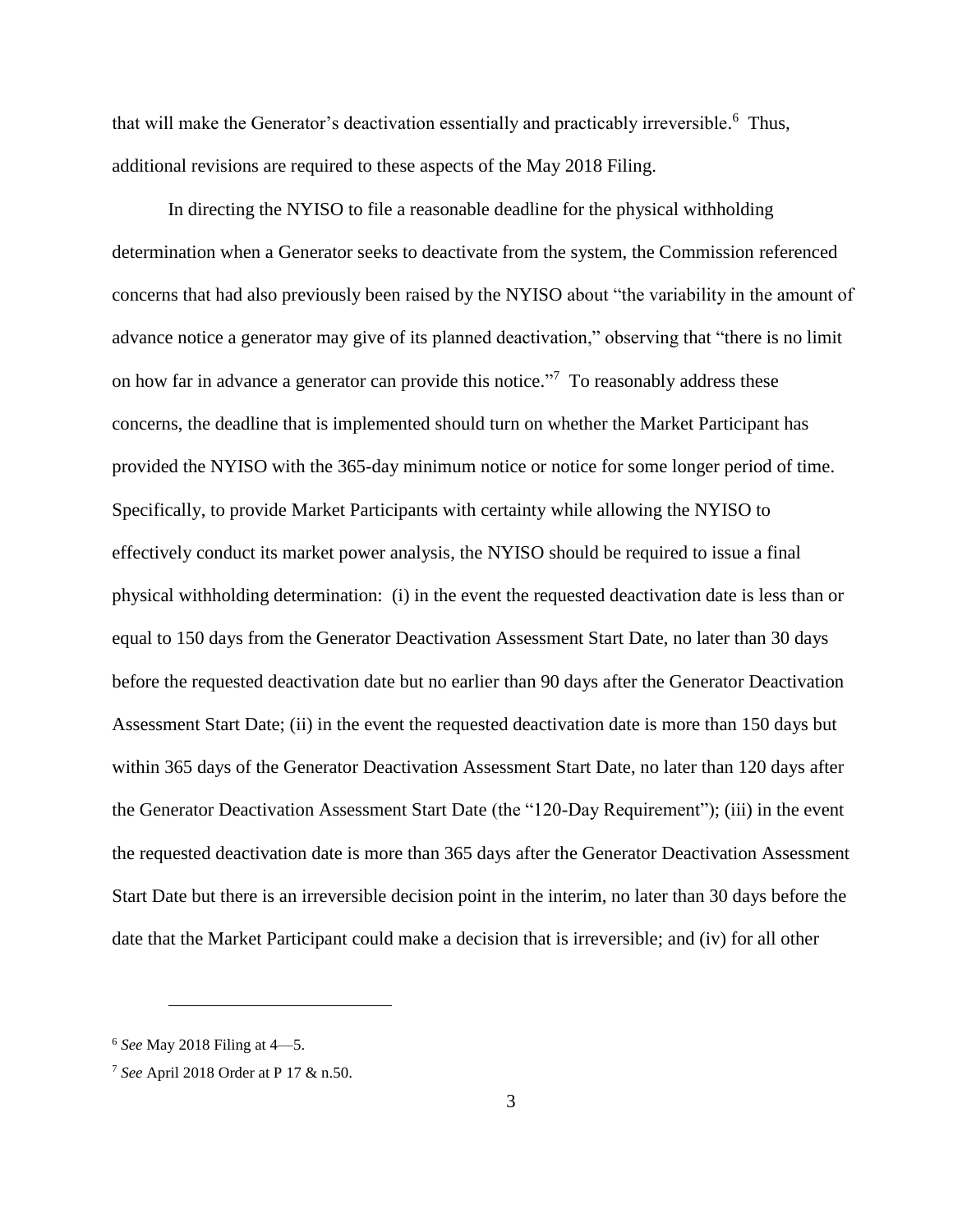that will make the Generator's deactivation essentially and practicably irreversible.<sup>6</sup> Thus, additional revisions are required to these aspects of the May 2018 Filing.

In directing the NYISO to file a reasonable deadline for the physical withholding determination when a Generator seeks to deactivate from the system, the Commission referenced concerns that had also previously been raised by the NYISO about "the variability in the amount of advance notice a generator may give of its planned deactivation," observing that "there is no limit on how far in advance a generator can provide this notice.<sup>"7</sup> To reasonably address these concerns, the deadline that is implemented should turn on whether the Market Participant has provided the NYISO with the 365-day minimum notice or notice for some longer period of time. Specifically, to provide Market Participants with certainty while allowing the NYISO to effectively conduct its market power analysis, the NYISO should be required to issue a final physical withholding determination: (i) in the event the requested deactivation date is less than or equal to 150 days from the Generator Deactivation Assessment Start Date, no later than 30 days before the requested deactivation date but no earlier than 90 days after the Generator Deactivation Assessment Start Date; (ii) in the event the requested deactivation date is more than 150 days but within 365 days of the Generator Deactivation Assessment Start Date, no later than 120 days after the Generator Deactivation Assessment Start Date (the "120-Day Requirement"); (iii) in the event the requested deactivation date is more than 365 days after the Generator Deactivation Assessment Start Date but there is an irreversible decision point in the interim, no later than 30 days before the date that the Market Participant could make a decision that is irreversible; and (iv) for all other

<sup>6</sup> *See* May 2018 Filing at 4—5.

<sup>7</sup> *See* April 2018 Order at P 17 & n.50.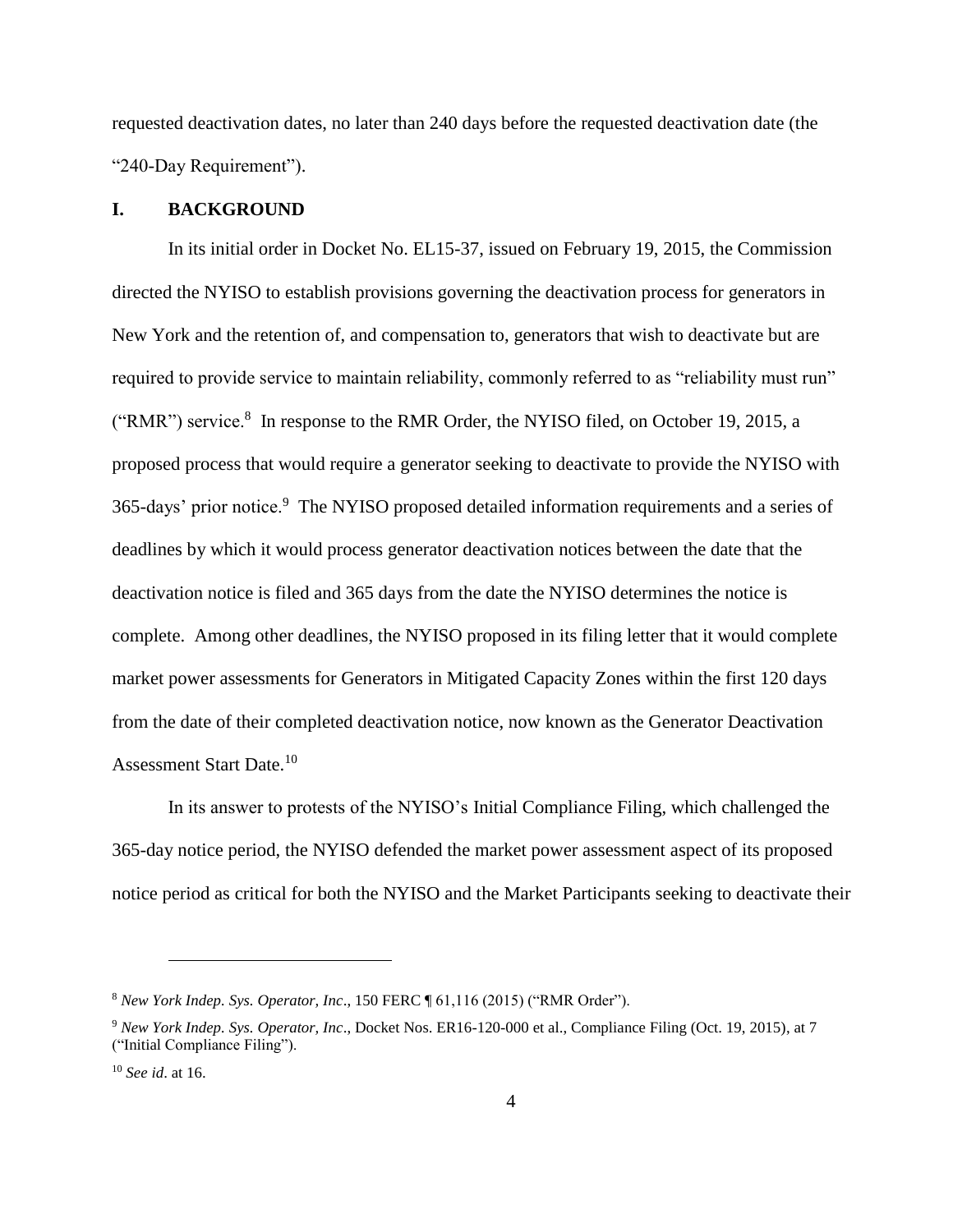requested deactivation dates, no later than 240 days before the requested deactivation date (the "240-Day Requirement").

### **I. BACKGROUND**

In its initial order in Docket No. EL15-37, issued on February 19, 2015, the Commission directed the NYISO to establish provisions governing the deactivation process for generators in New York and the retention of, and compensation to, generators that wish to deactivate but are required to provide service to maintain reliability, commonly referred to as "reliability must run" ("RMR") service.<sup>8</sup> In response to the RMR Order, the NYISO filed, on October 19, 2015, a proposed process that would require a generator seeking to deactivate to provide the NYISO with 365-days' prior notice.<sup>9</sup> The NYISO proposed detailed information requirements and a series of deadlines by which it would process generator deactivation notices between the date that the deactivation notice is filed and 365 days from the date the NYISO determines the notice is complete. Among other deadlines, the NYISO proposed in its filing letter that it would complete market power assessments for Generators in Mitigated Capacity Zones within the first 120 days from the date of their completed deactivation notice, now known as the Generator Deactivation Assessment Start Date.<sup>10</sup>

In its answer to protests of the NYISO's Initial Compliance Filing, which challenged the 365-day notice period, the NYISO defended the market power assessment aspect of its proposed notice period as critical for both the NYISO and the Market Participants seeking to deactivate their

<sup>8</sup> *New York Indep. Sys. Operator, Inc*., 150 FERC ¶ 61,116 (2015) ("RMR Order").

<sup>9</sup> *New York Indep. Sys. Operator, Inc*., Docket Nos. ER16-120-000 et al., Compliance Filing (Oct. 19, 2015), at 7 ("Initial Compliance Filing").

<sup>10</sup> *See id*. at 16.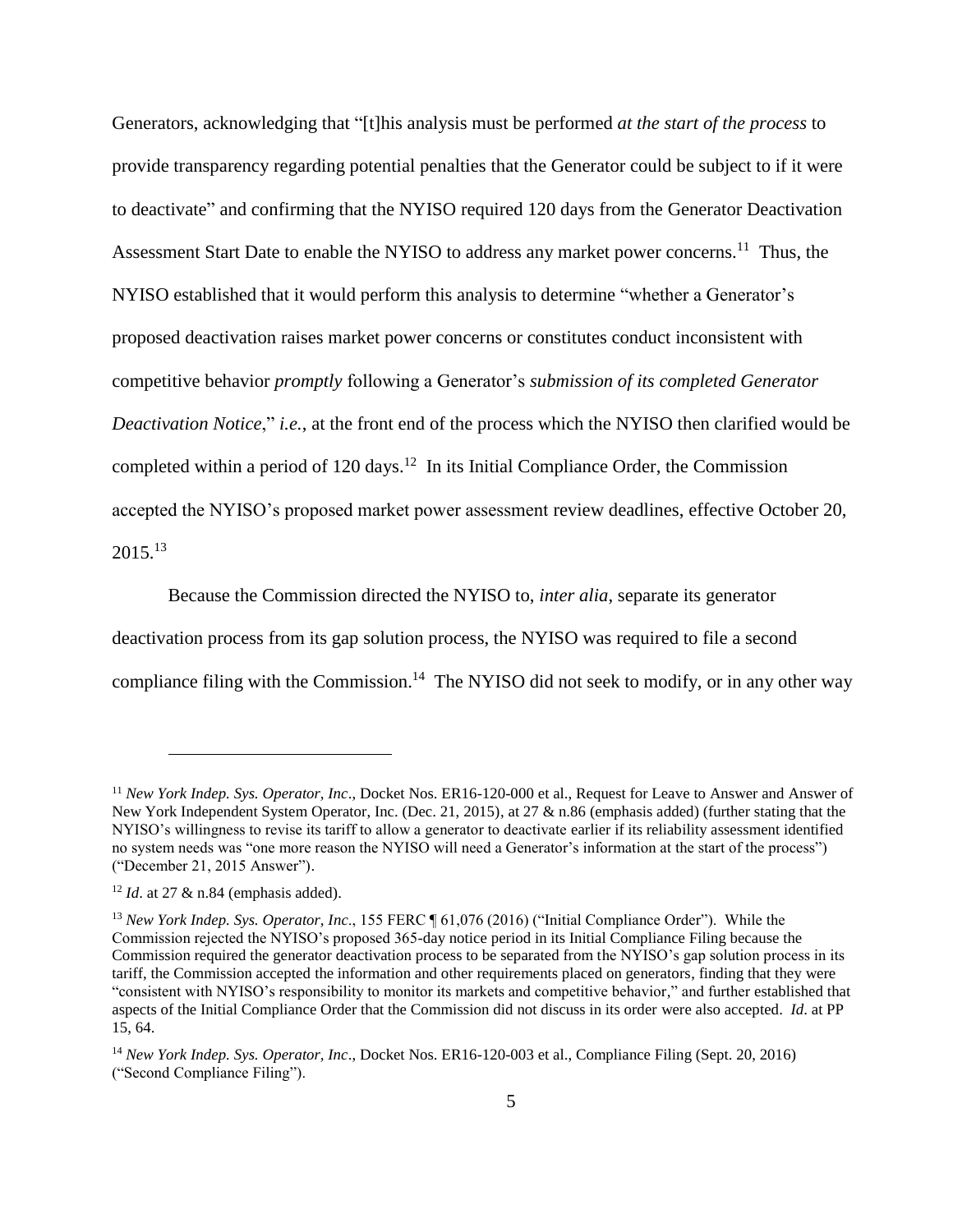Generators, acknowledging that "[t]his analysis must be performed *at the start of the process* to provide transparency regarding potential penalties that the Generator could be subject to if it were to deactivate" and confirming that the NYISO required 120 days from the Generator Deactivation Assessment Start Date to enable the NYISO to address any market power concerns.<sup>11</sup> Thus, the NYISO established that it would perform this analysis to determine "whether a Generator's proposed deactivation raises market power concerns or constitutes conduct inconsistent with competitive behavior *promptly* following a Generator's *submission of its completed Generator Deactivation Notice*," *i.e.*, at the front end of the process which the NYISO then clarified would be completed within a period of 120 days.<sup>12</sup> In its Initial Compliance Order, the Commission accepted the NYISO's proposed market power assessment review deadlines, effective October 20,  $2015.<sup>13</sup>$ 

Because the Commission directed the NYISO to, *inter alia*, separate its generator deactivation process from its gap solution process, the NYISO was required to file a second compliance filing with the Commission.<sup>14</sup> The NYISO did not seek to modify, or in any other way

<sup>11</sup> *New York Indep. Sys. Operator, Inc*., Docket Nos. ER16-120-000 et al., Request for Leave to Answer and Answer of New York Independent System Operator, Inc. (Dec. 21, 2015), at 27 & n.86 (emphasis added) (further stating that the NYISO's willingness to revise its tariff to allow a generator to deactivate earlier if its reliability assessment identified no system needs was "one more reason the NYISO will need a Generator's information at the start of the process") ("December 21, 2015 Answer").

<sup>&</sup>lt;sup>12</sup> *Id.* at 27 & n.84 (emphasis added).

<sup>&</sup>lt;sup>13</sup> *New York Indep. Sys. Operator, Inc.*, 155 FERC ¶ 61.076 (2016) ("Initial Compliance Order"). While the Commission rejected the NYISO's proposed 365-day notice period in its Initial Compliance Filing because the Commission required the generator deactivation process to be separated from the NYISO's gap solution process in its tariff, the Commission accepted the information and other requirements placed on generators, finding that they were "consistent with NYISO's responsibility to monitor its markets and competitive behavior," and further established that aspects of the Initial Compliance Order that the Commission did not discuss in its order were also accepted. *Id*. at PP 15, 64.

<sup>14</sup> *New York Indep. Sys. Operator, Inc*., Docket Nos. ER16-120-003 et al., Compliance Filing (Sept. 20, 2016) ("Second Compliance Filing").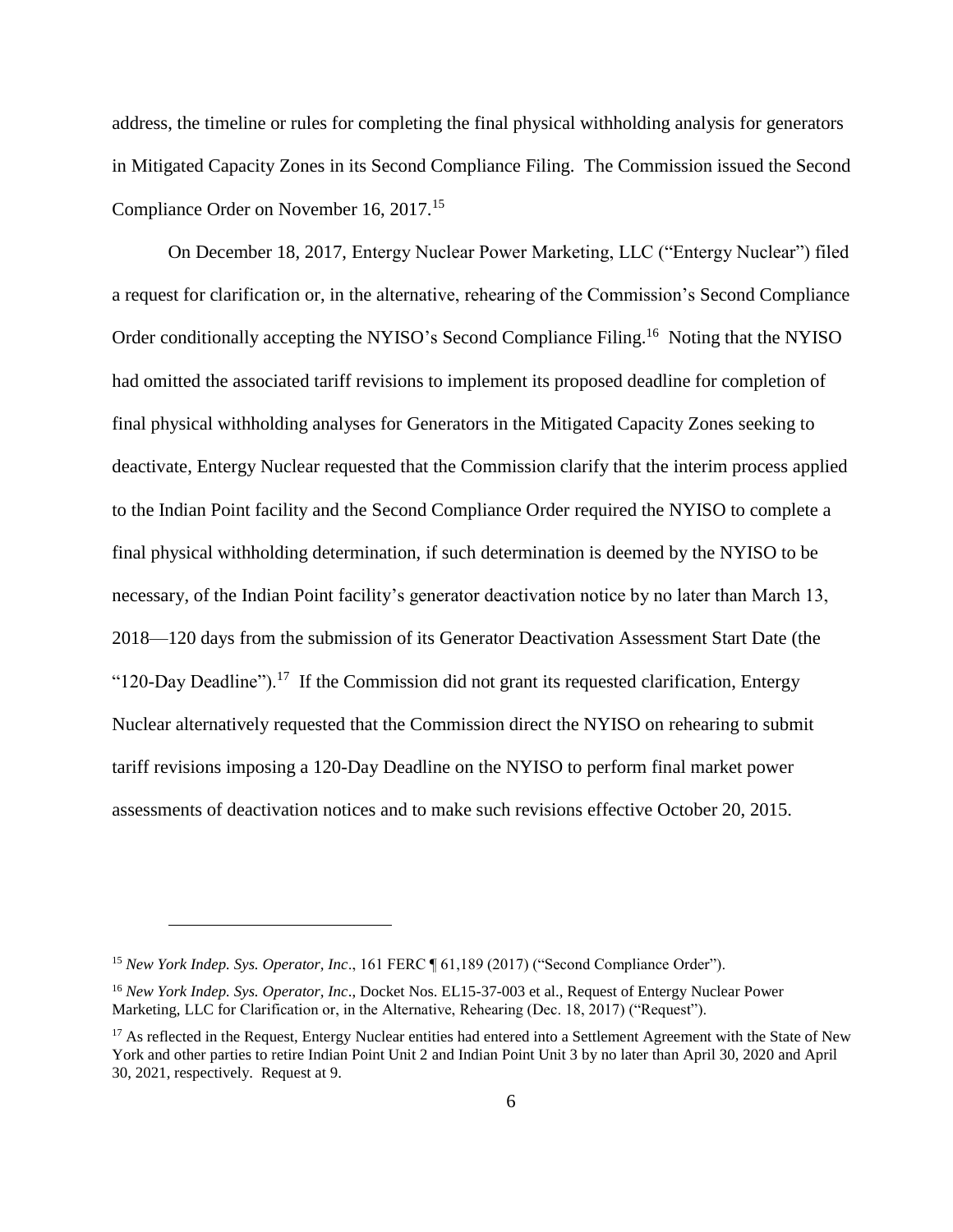address, the timeline or rules for completing the final physical withholding analysis for generators in Mitigated Capacity Zones in its Second Compliance Filing. The Commission issued the Second Compliance Order on November 16, 2017.<sup>15</sup>

On December 18, 2017, Entergy Nuclear Power Marketing, LLC ("Entergy Nuclear") filed a request for clarification or, in the alternative, rehearing of the Commission's Second Compliance Order conditionally accepting the NYISO's Second Compliance Filing.<sup>16</sup> Noting that the NYISO had omitted the associated tariff revisions to implement its proposed deadline for completion of final physical withholding analyses for Generators in the Mitigated Capacity Zones seeking to deactivate, Entergy Nuclear requested that the Commission clarify that the interim process applied to the Indian Point facility and the Second Compliance Order required the NYISO to complete a final physical withholding determination, if such determination is deemed by the NYISO to be necessary, of the Indian Point facility's generator deactivation notice by no later than March 13, 2018—120 days from the submission of its Generator Deactivation Assessment Start Date (the "120-Day Deadline").<sup>17</sup> If the Commission did not grant its requested clarification, Entergy Nuclear alternatively requested that the Commission direct the NYISO on rehearing to submit tariff revisions imposing a 120-Day Deadline on the NYISO to perform final market power assessments of deactivation notices and to make such revisions effective October 20, 2015.

<sup>&</sup>lt;sup>15</sup> *New York Indep. Sys. Operator, Inc.,* 161 FERC ¶ 61,189 (2017) ("Second Compliance Order").

<sup>16</sup> *New York Indep. Sys. Operator, Inc*., Docket Nos. EL15-37-003 et al., Request of Entergy Nuclear Power Marketing, LLC for Clarification or, in the Alternative, Rehearing (Dec. 18, 2017) ("Request").

<sup>&</sup>lt;sup>17</sup> As reflected in the Request, Entergy Nuclear entities had entered into a Settlement Agreement with the State of New York and other parties to retire Indian Point Unit 2 and Indian Point Unit 3 by no later than April 30, 2020 and April 30, 2021, respectively. Request at 9.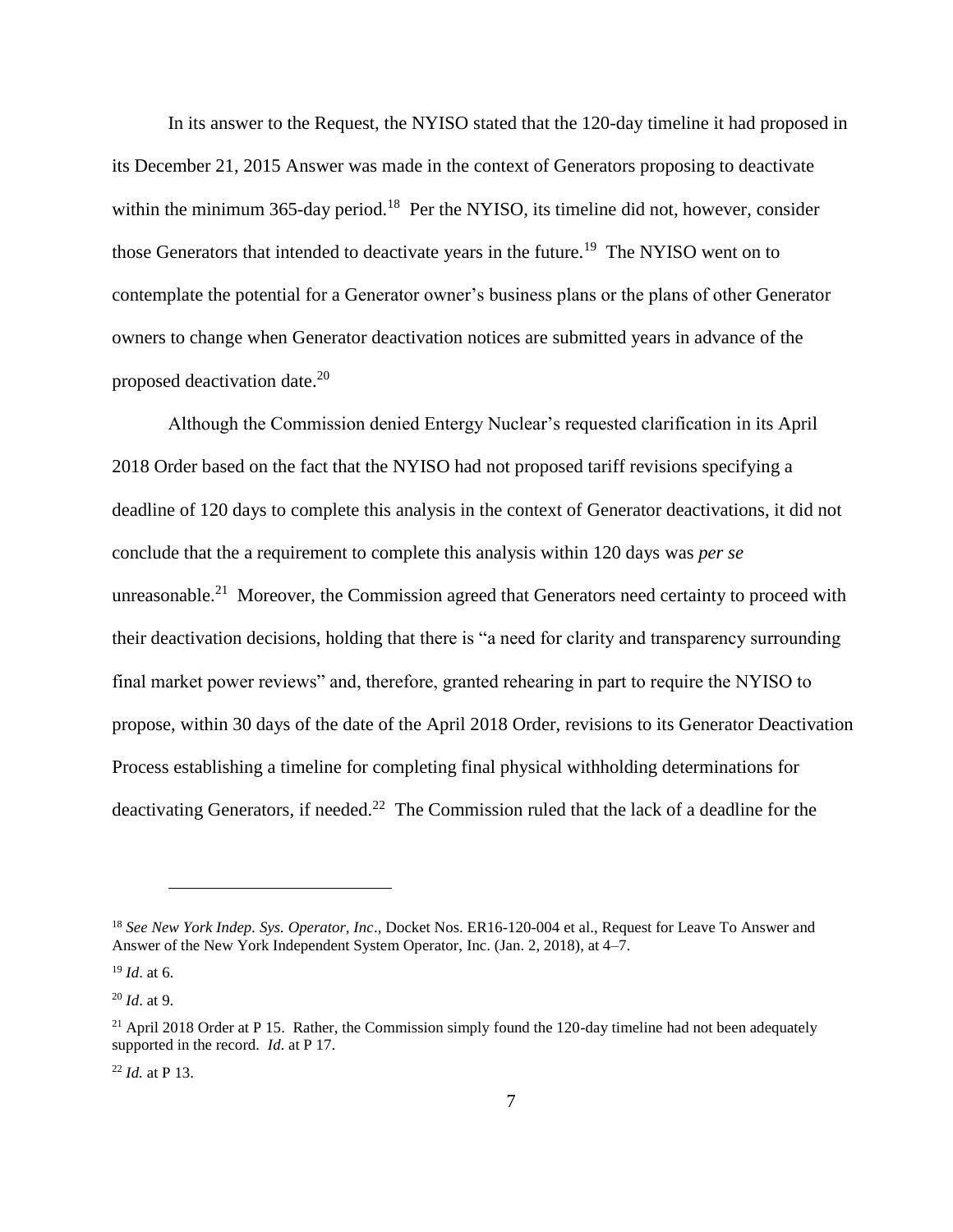In its answer to the Request, the NYISO stated that the 120-day timeline it had proposed in its December 21, 2015 Answer was made in the context of Generators proposing to deactivate within the minimum 365-day period.<sup>18</sup> Per the NYISO, its timeline did not, however, consider those Generators that intended to deactivate years in the future.<sup>19</sup> The NYISO went on to contemplate the potential for a Generator owner's business plans or the plans of other Generator owners to change when Generator deactivation notices are submitted years in advance of the proposed deactivation date.<sup>20</sup>

Although the Commission denied Entergy Nuclear's requested clarification in its April 2018 Order based on the fact that the NYISO had not proposed tariff revisions specifying a deadline of 120 days to complete this analysis in the context of Generator deactivations, it did not conclude that the a requirement to complete this analysis within 120 days was *per se* unreasonable.<sup>21</sup> Moreover, the Commission agreed that Generators need certainty to proceed with their deactivation decisions, holding that there is "a need for clarity and transparency surrounding final market power reviews" and, therefore, granted rehearing in part to require the NYISO to propose, within 30 days of the date of the April 2018 Order, revisions to its Generator Deactivation Process establishing a timeline for completing final physical withholding determinations for deactivating Generators, if needed.<sup>22</sup> The Commission ruled that the lack of a deadline for the

<sup>&</sup>lt;sup>18</sup> See New York Indep. Sys. Operator, Inc., Docket Nos. ER16-120-004 et al., Request for Leave To Answer and Answer of the New York Independent System Operator, Inc. (Jan. 2, 2018), at 4–7.

<sup>19</sup> *Id*. at 6.

<sup>20</sup> *Id*. at 9.

<sup>&</sup>lt;sup>21</sup> April 2018 Order at P 15. Rather, the Commission simply found the 120-day timeline had not been adequately supported in the record. *Id*. at P 17.

<sup>22</sup> *Id.* at P 13.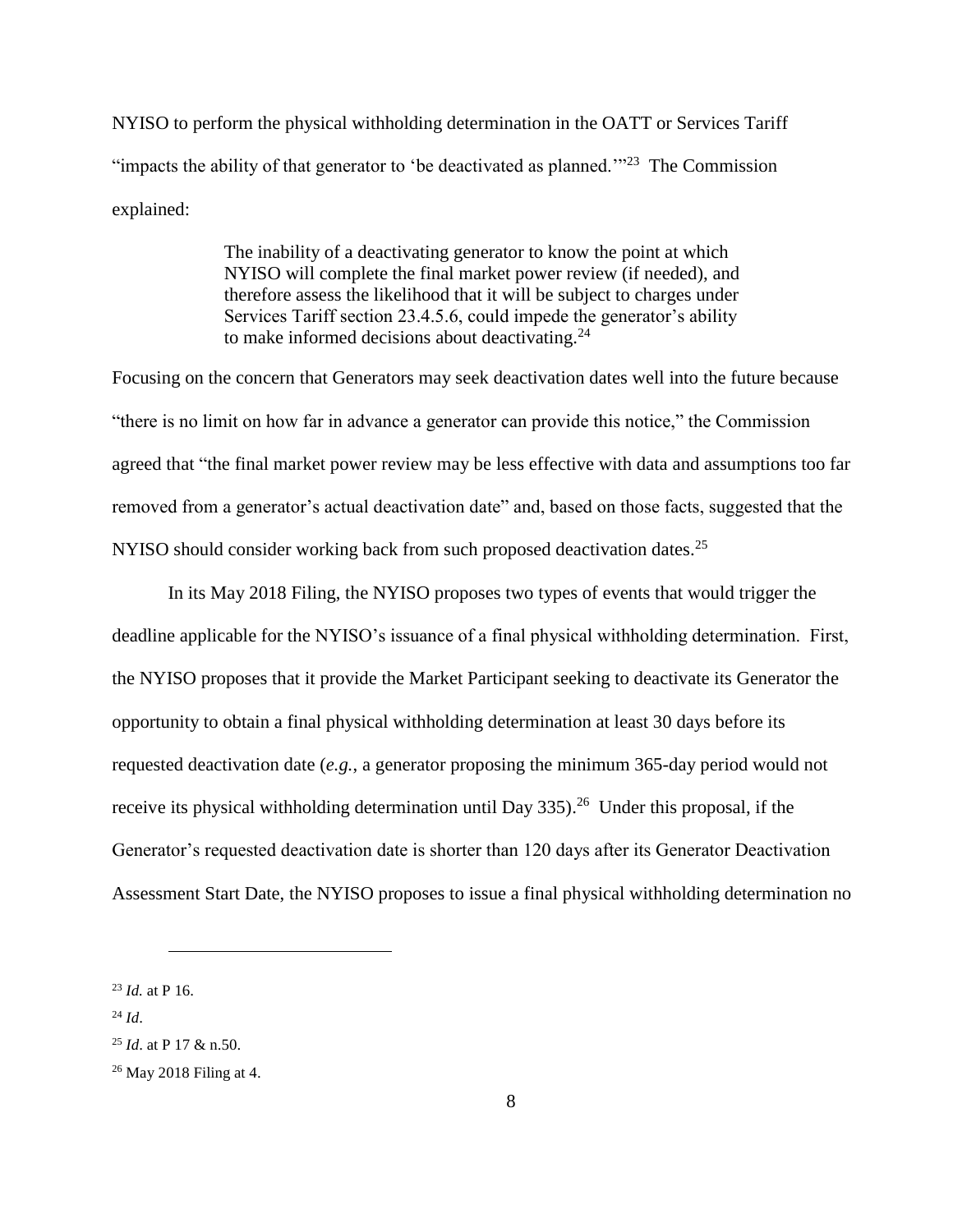NYISO to perform the physical withholding determination in the OATT or Services Tariff "impacts the ability of that generator to 'be deactivated as planned." $23$  The Commission explained:

> The inability of a deactivating generator to know the point at which NYISO will complete the final market power review (if needed), and therefore assess the likelihood that it will be subject to charges under Services Tariff section 23.4.5.6, could impede the generator's ability to make informed decisions about deactivating. $24$

Focusing on the concern that Generators may seek deactivation dates well into the future because "there is no limit on how far in advance a generator can provide this notice," the Commission agreed that "the final market power review may be less effective with data and assumptions too far removed from a generator's actual deactivation date" and, based on those facts, suggested that the NYISO should consider working back from such proposed deactivation dates.<sup>25</sup>

In its May 2018 Filing, the NYISO proposes two types of events that would trigger the deadline applicable for the NYISO's issuance of a final physical withholding determination. First, the NYISO proposes that it provide the Market Participant seeking to deactivate its Generator the opportunity to obtain a final physical withholding determination at least 30 days before its requested deactivation date (*e.g.*, a generator proposing the minimum 365-day period would not receive its physical withholding determination until Day  $335$ ).<sup>26</sup> Under this proposal, if the Generator's requested deactivation date is shorter than 120 days after its Generator Deactivation Assessment Start Date, the NYISO proposes to issue a final physical withholding determination no

<sup>23</sup> *Id.* at P 16.

 $^{24}$  *Id.* 

<sup>25</sup> *Id*. at P 17 & n.50.

<sup>26</sup> May 2018 Filing at 4.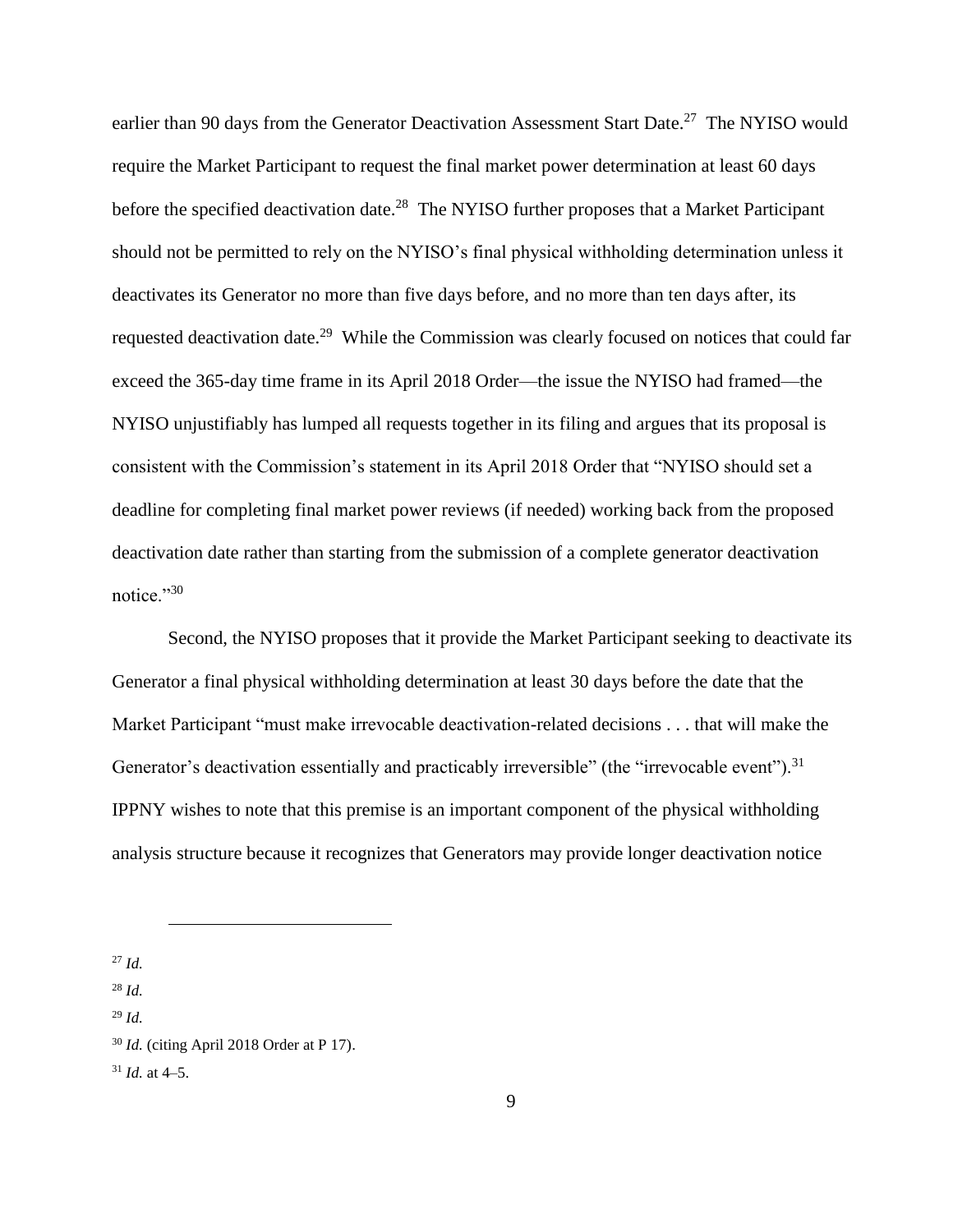earlier than 90 days from the Generator Deactivation Assessment Start Date.<sup>27</sup> The NYISO would require the Market Participant to request the final market power determination at least 60 days before the specified deactivation date.<sup>28</sup> The NYISO further proposes that a Market Participant should not be permitted to rely on the NYISO's final physical withholding determination unless it deactivates its Generator no more than five days before, and no more than ten days after, its requested deactivation date.<sup>29</sup> While the Commission was clearly focused on notices that could far exceed the 365-day time frame in its April 2018 Order—the issue the NYISO had framed—the NYISO unjustifiably has lumped all requests together in its filing and argues that its proposal is consistent with the Commission's statement in its April 2018 Order that "NYISO should set a deadline for completing final market power reviews (if needed) working back from the proposed deactivation date rather than starting from the submission of a complete generator deactivation notice."<sup>30</sup>

Second, the NYISO proposes that it provide the Market Participant seeking to deactivate its Generator a final physical withholding determination at least 30 days before the date that the Market Participant "must make irrevocable deactivation-related decisions . . . that will make the Generator's deactivation essentially and practicably irreversible" (the "irrevocable event").<sup>31</sup> IPPNY wishes to note that this premise is an important component of the physical withholding analysis structure because it recognizes that Generators may provide longer deactivation notice

<sup>27</sup> *Id.*

<sup>28</sup> *Id.*

<sup>29</sup> *Id.*

<sup>30</sup> *Id.* (citing April 2018 Order at P 17).

<sup>31</sup> *Id.* at 4–5.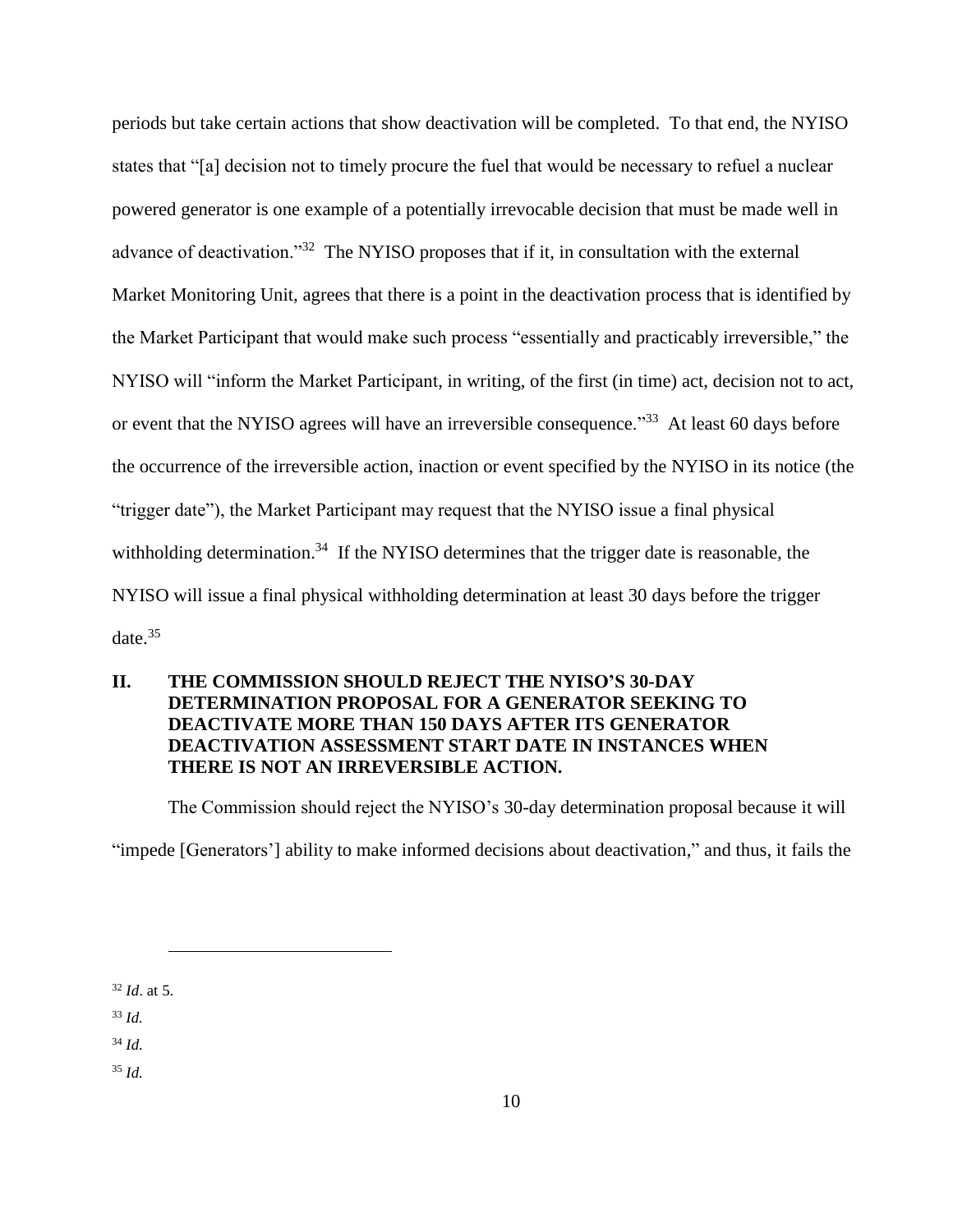periods but take certain actions that show deactivation will be completed. To that end, the NYISO states that "[a] decision not to timely procure the fuel that would be necessary to refuel a nuclear powered generator is one example of a potentially irrevocable decision that must be made well in advance of deactivation.<sup>33</sup> The NYISO proposes that if it, in consultation with the external Market Monitoring Unit, agrees that there is a point in the deactivation process that is identified by the Market Participant that would make such process "essentially and practicably irreversible," the NYISO will "inform the Market Participant, in writing, of the first (in time) act, decision not to act, or event that the NYISO agrees will have an irreversible consequence."<sup>33</sup> At least 60 days before the occurrence of the irreversible action, inaction or event specified by the NYISO in its notice (the "trigger date"), the Market Participant may request that the NYISO issue a final physical withholding determination.<sup>34</sup> If the NYISO determines that the trigger date is reasonable, the NYISO will issue a final physical withholding determination at least 30 days before the trigger date. $35$ 

# **II. THE COMMISSION SHOULD REJECT THE NYISO'S 30-DAY DETERMINATION PROPOSAL FOR A GENERATOR SEEKING TO DEACTIVATE MORE THAN 150 DAYS AFTER ITS GENERATOR DEACTIVATION ASSESSMENT START DATE IN INSTANCES WHEN THERE IS NOT AN IRREVERSIBLE ACTION.**

The Commission should reject the NYISO's 30-day determination proposal because it will

"impede [Generators'] ability to make informed decisions about deactivation," and thus, it fails the

<sup>32</sup> *Id*. at 5.

 $\overline{a}$ 

<sup>33</sup> *Id.*

<sup>34</sup> *Id.*

<sup>35</sup> *Id.*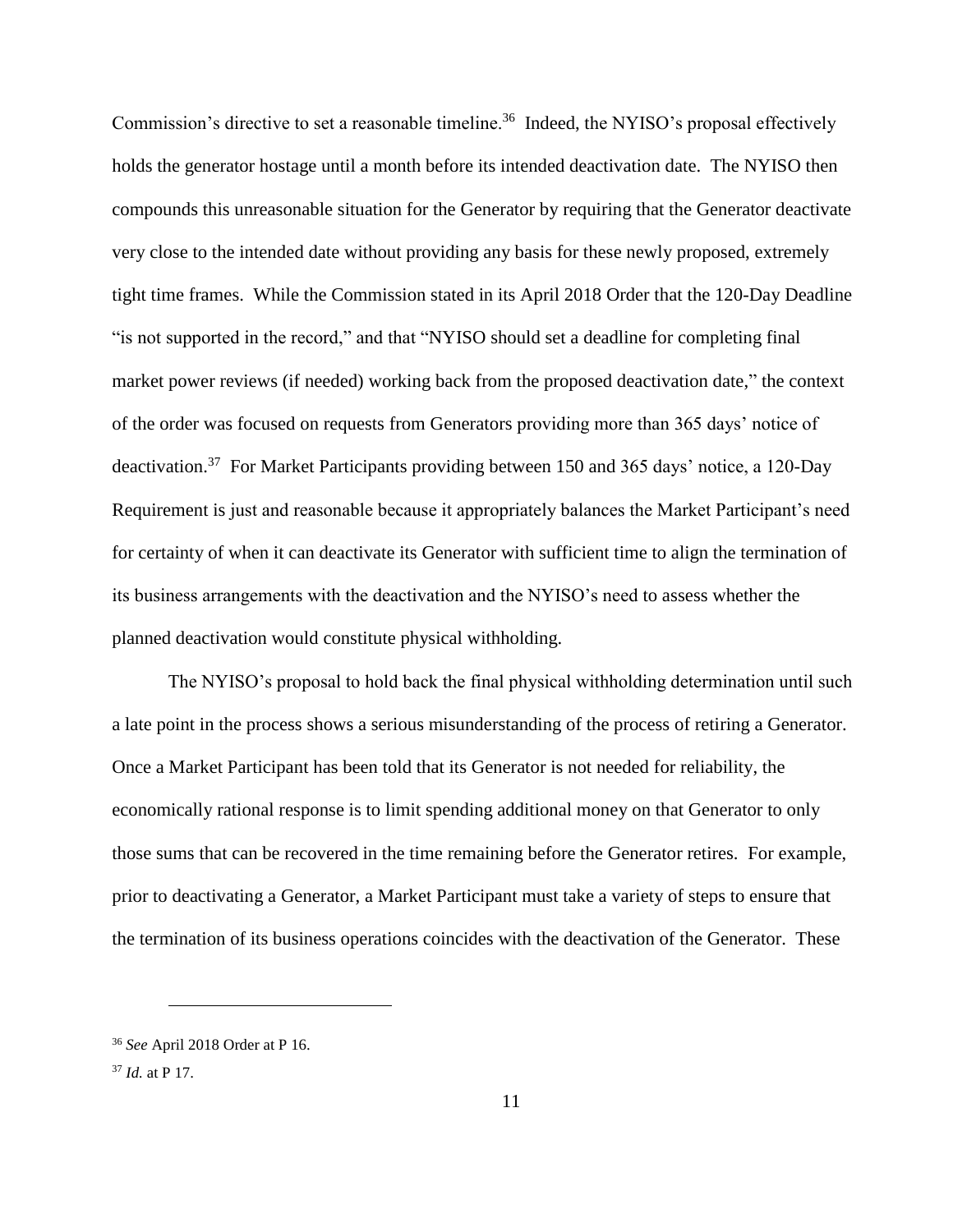Commission's directive to set a reasonable timeline.<sup>36</sup> Indeed, the NYISO's proposal effectively holds the generator hostage until a month before its intended deactivation date. The NYISO then compounds this unreasonable situation for the Generator by requiring that the Generator deactivate very close to the intended date without providing any basis for these newly proposed, extremely tight time frames. While the Commission stated in its April 2018 Order that the 120-Day Deadline "is not supported in the record," and that "NYISO should set a deadline for completing final market power reviews (if needed) working back from the proposed deactivation date," the context of the order was focused on requests from Generators providing more than 365 days' notice of deactivation.<sup>37</sup> For Market Participants providing between 150 and 365 days' notice, a 120-Day Requirement is just and reasonable because it appropriately balances the Market Participant's need for certainty of when it can deactivate its Generator with sufficient time to align the termination of its business arrangements with the deactivation and the NYISO's need to assess whether the planned deactivation would constitute physical withholding.

The NYISO's proposal to hold back the final physical withholding determination until such a late point in the process shows a serious misunderstanding of the process of retiring a Generator. Once a Market Participant has been told that its Generator is not needed for reliability, the economically rational response is to limit spending additional money on that Generator to only those sums that can be recovered in the time remaining before the Generator retires. For example, prior to deactivating a Generator, a Market Participant must take a variety of steps to ensure that the termination of its business operations coincides with the deactivation of the Generator. These

<sup>36</sup> *See* April 2018 Order at P 16.

<sup>37</sup> *Id.* at P 17.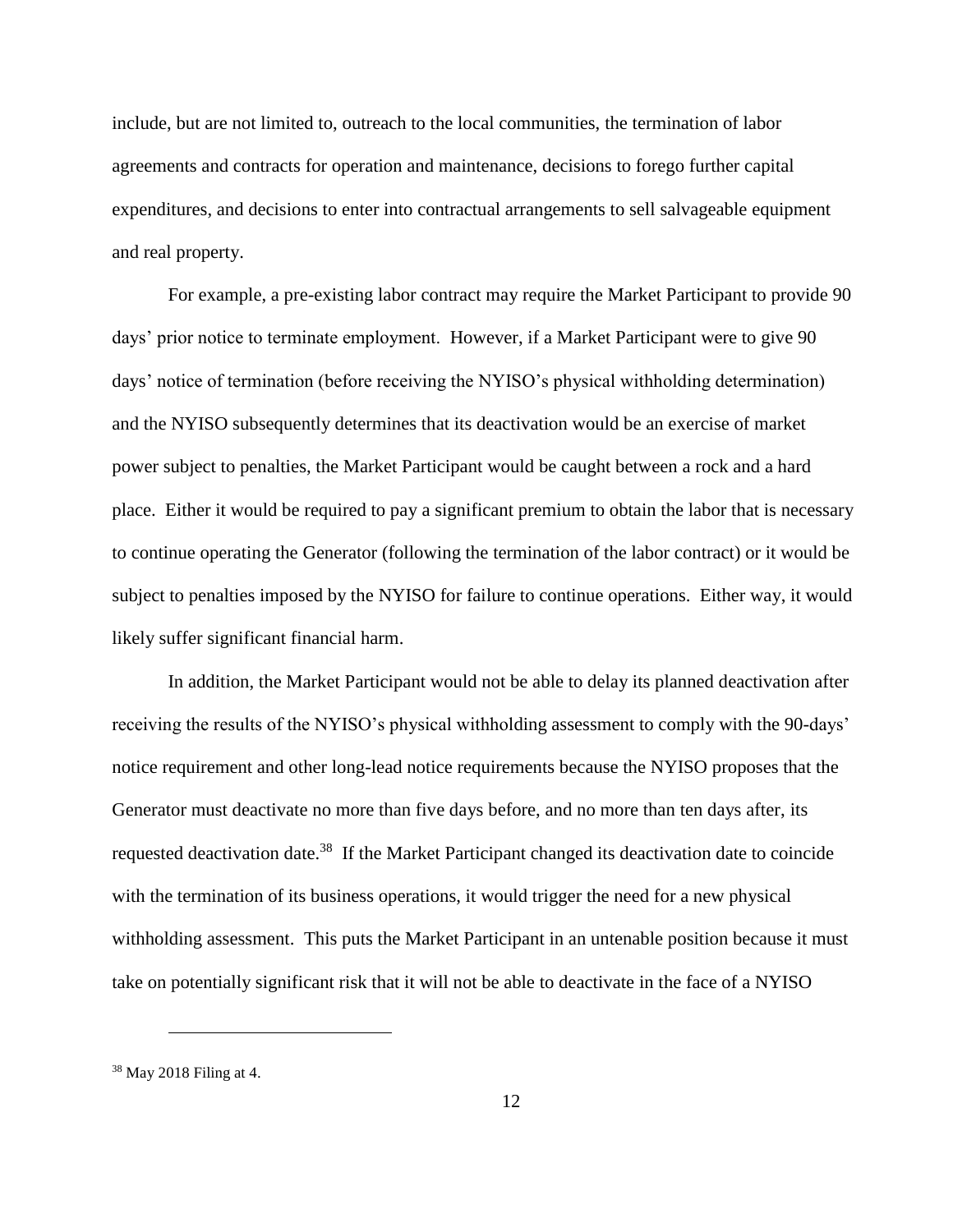include, but are not limited to, outreach to the local communities, the termination of labor agreements and contracts for operation and maintenance, decisions to forego further capital expenditures, and decisions to enter into contractual arrangements to sell salvageable equipment and real property.

For example, a pre-existing labor contract may require the Market Participant to provide 90 days' prior notice to terminate employment. However, if a Market Participant were to give 90 days' notice of termination (before receiving the NYISO's physical withholding determination) and the NYISO subsequently determines that its deactivation would be an exercise of market power subject to penalties, the Market Participant would be caught between a rock and a hard place. Either it would be required to pay a significant premium to obtain the labor that is necessary to continue operating the Generator (following the termination of the labor contract) or it would be subject to penalties imposed by the NYISO for failure to continue operations. Either way, it would likely suffer significant financial harm.

In addition, the Market Participant would not be able to delay its planned deactivation after receiving the results of the NYISO's physical withholding assessment to comply with the 90-days' notice requirement and other long-lead notice requirements because the NYISO proposes that the Generator must deactivate no more than five days before, and no more than ten days after, its requested deactivation date.<sup>38</sup> If the Market Participant changed its deactivation date to coincide with the termination of its business operations, it would trigger the need for a new physical withholding assessment. This puts the Market Participant in an untenable position because it must take on potentially significant risk that it will not be able to deactivate in the face of a NYISO

<sup>38</sup> May 2018 Filing at 4.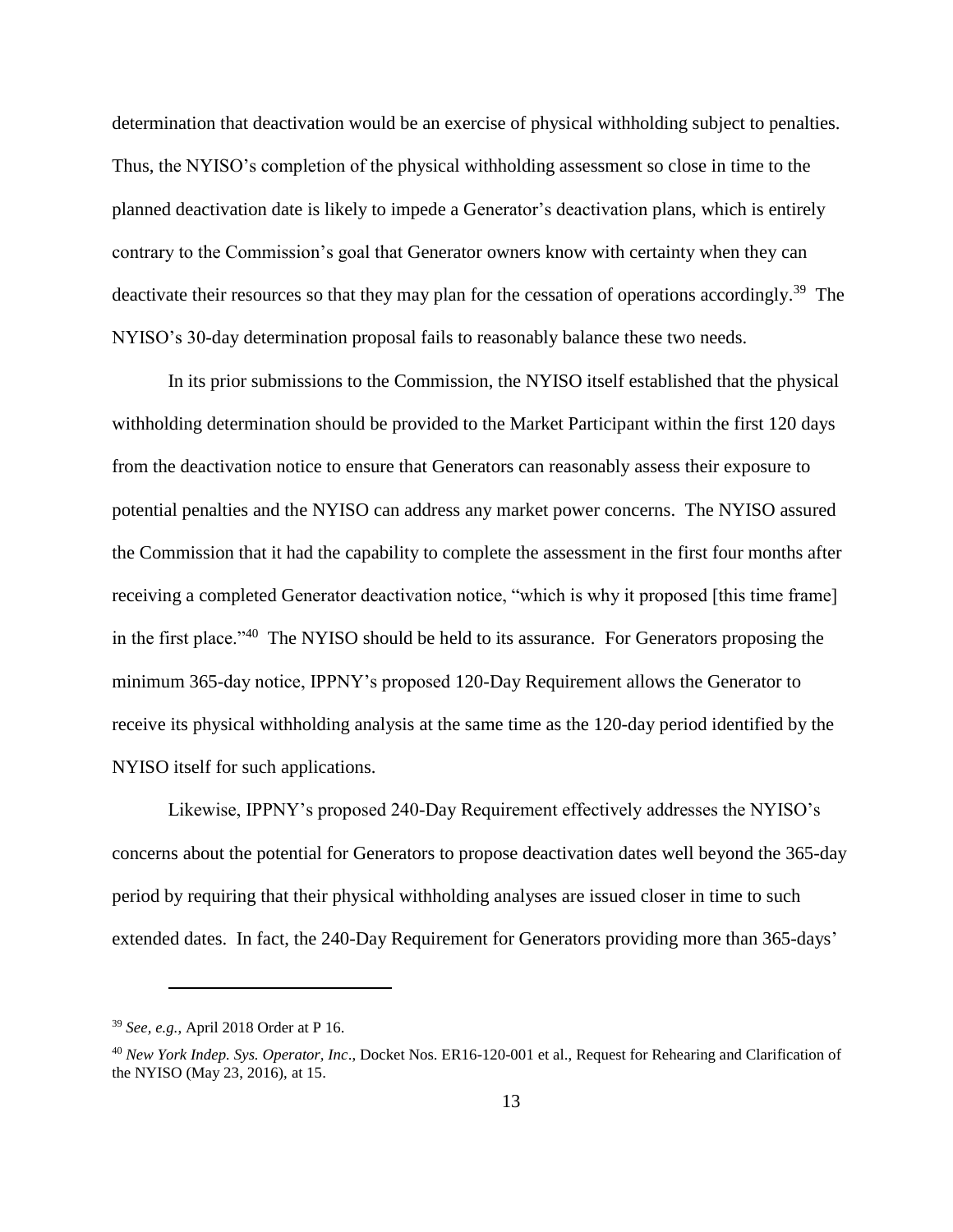determination that deactivation would be an exercise of physical withholding subject to penalties. Thus, the NYISO's completion of the physical withholding assessment so close in time to the planned deactivation date is likely to impede a Generator's deactivation plans, which is entirely contrary to the Commission's goal that Generator owners know with certainty when they can deactivate their resources so that they may plan for the cessation of operations accordingly.<sup>39</sup> The NYISO's 30-day determination proposal fails to reasonably balance these two needs.

In its prior submissions to the Commission, the NYISO itself established that the physical withholding determination should be provided to the Market Participant within the first 120 days from the deactivation notice to ensure that Generators can reasonably assess their exposure to potential penalties and the NYISO can address any market power concerns. The NYISO assured the Commission that it had the capability to complete the assessment in the first four months after receiving a completed Generator deactivation notice, "which is why it proposed [this time frame] in the first place."<sup>40</sup> The NYISO should be held to its assurance. For Generators proposing the minimum 365-day notice, IPPNY's proposed 120-Day Requirement allows the Generator to receive its physical withholding analysis at the same time as the 120-day period identified by the NYISO itself for such applications.

Likewise, IPPNY's proposed 240-Day Requirement effectively addresses the NYISO's concerns about the potential for Generators to propose deactivation dates well beyond the 365-day period by requiring that their physical withholding analyses are issued closer in time to such extended dates. In fact, the 240-Day Requirement for Generators providing more than 365-days'

<sup>39</sup> *See, e.g.*, April 2018 Order at P 16.

<sup>40</sup> *New York Indep. Sys. Operator, Inc*., Docket Nos. ER16-120-001 et al., Request for Rehearing and Clarification of the NYISO (May 23, 2016), at 15.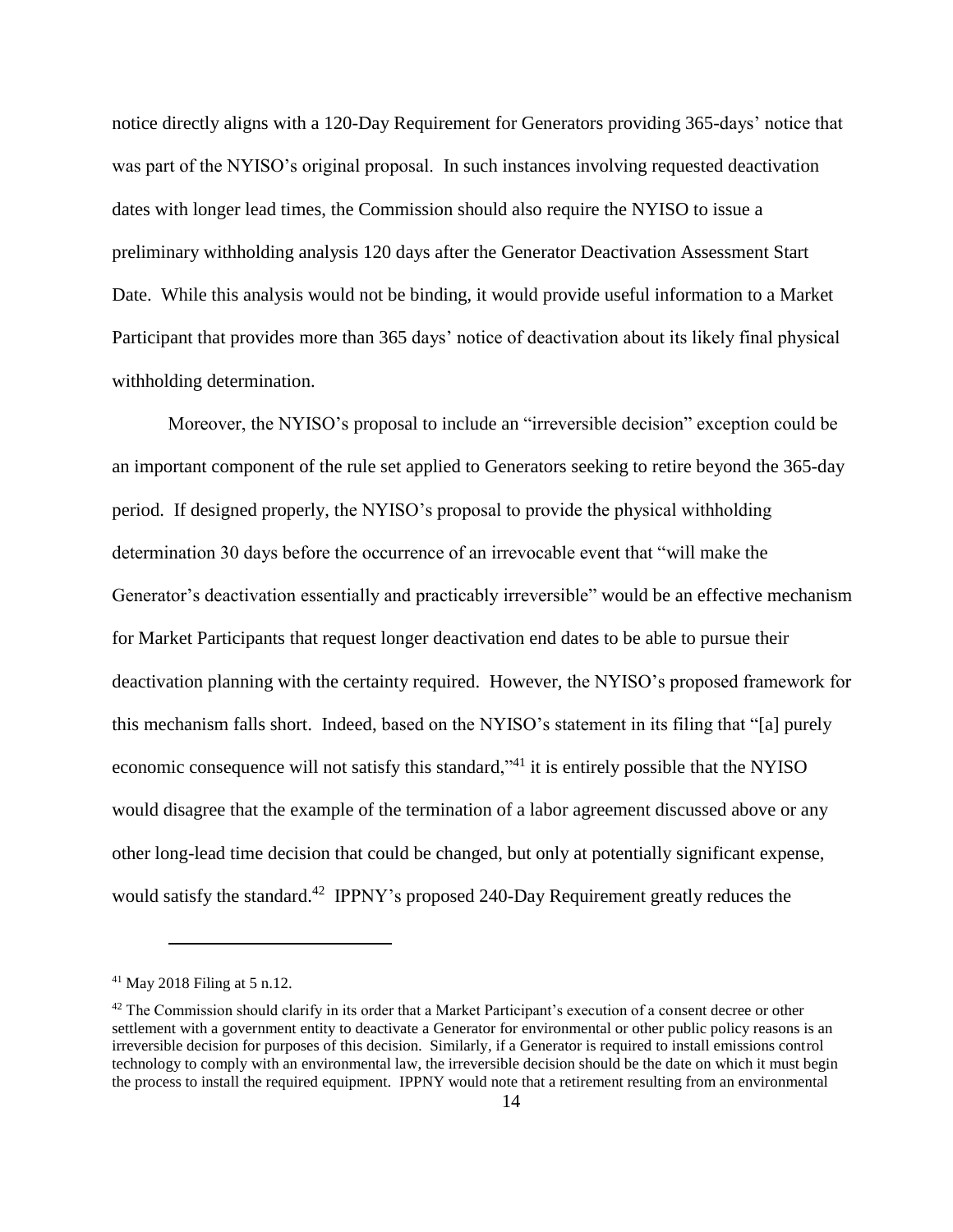notice directly aligns with a 120-Day Requirement for Generators providing 365-days' notice that was part of the NYISO's original proposal. In such instances involving requested deactivation dates with longer lead times, the Commission should also require the NYISO to issue a preliminary withholding analysis 120 days after the Generator Deactivation Assessment Start Date. While this analysis would not be binding, it would provide useful information to a Market Participant that provides more than 365 days' notice of deactivation about its likely final physical withholding determination.

Moreover, the NYISO's proposal to include an "irreversible decision" exception could be an important component of the rule set applied to Generators seeking to retire beyond the 365-day period. If designed properly, the NYISO's proposal to provide the physical withholding determination 30 days before the occurrence of an irrevocable event that "will make the Generator's deactivation essentially and practicably irreversible" would be an effective mechanism for Market Participants that request longer deactivation end dates to be able to pursue their deactivation planning with the certainty required. However, the NYISO's proposed framework for this mechanism falls short. Indeed, based on the NYISO's statement in its filing that "[a] purely economic consequence will not satisfy this standard,"<sup>41</sup> it is entirely possible that the NYISO would disagree that the example of the termination of a labor agreement discussed above or any other long-lead time decision that could be changed, but only at potentially significant expense, would satisfy the standard.<sup>42</sup> IPPNY's proposed 240-Day Requirement greatly reduces the

 $41$  May 2018 Filing at 5 n.12.

 $42$  The Commission should clarify in its order that a Market Participant's execution of a consent decree or other settlement with a government entity to deactivate a Generator for environmental or other public policy reasons is an irreversible decision for purposes of this decision. Similarly, if a Generator is required to install emissions control technology to comply with an environmental law, the irreversible decision should be the date on which it must begin the process to install the required equipment. IPPNY would note that a retirement resulting from an environmental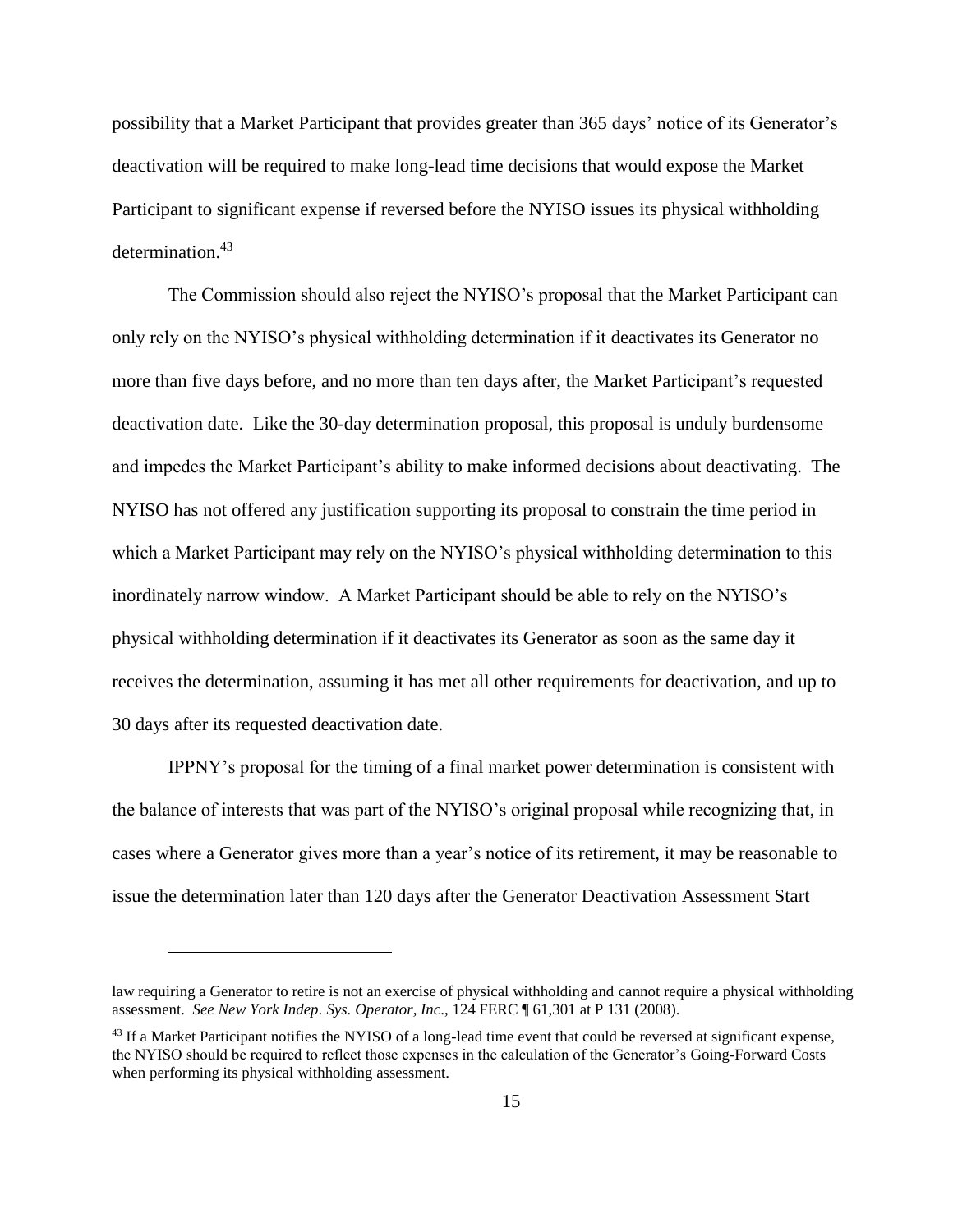possibility that a Market Participant that provides greater than 365 days' notice of its Generator's deactivation will be required to make long-lead time decisions that would expose the Market Participant to significant expense if reversed before the NYISO issues its physical withholding determination.<sup>43</sup>

The Commission should also reject the NYISO's proposal that the Market Participant can only rely on the NYISO's physical withholding determination if it deactivates its Generator no more than five days before, and no more than ten days after, the Market Participant's requested deactivation date. Like the 30-day determination proposal, this proposal is unduly burdensome and impedes the Market Participant's ability to make informed decisions about deactivating. The NYISO has not offered any justification supporting its proposal to constrain the time period in which a Market Participant may rely on the NYISO's physical withholding determination to this inordinately narrow window. A Market Participant should be able to rely on the NYISO's physical withholding determination if it deactivates its Generator as soon as the same day it receives the determination, assuming it has met all other requirements for deactivation, and up to 30 days after its requested deactivation date.

IPPNY's proposal for the timing of a final market power determination is consistent with the balance of interests that was part of the NYISO's original proposal while recognizing that, in cases where a Generator gives more than a year's notice of its retirement, it may be reasonable to issue the determination later than 120 days after the Generator Deactivation Assessment Start

law requiring a Generator to retire is not an exercise of physical withholding and cannot require a physical withholding assessment. *See New York Indep. Sys. Operator, Inc*., 124 FERC ¶ 61,301 at P 131 (2008).

<sup>&</sup>lt;sup>43</sup> If a Market Participant notifies the NYISO of a long-lead time event that could be reversed at significant expense, the NYISO should be required to reflect those expenses in the calculation of the Generator's Going-Forward Costs when performing its physical withholding assessment.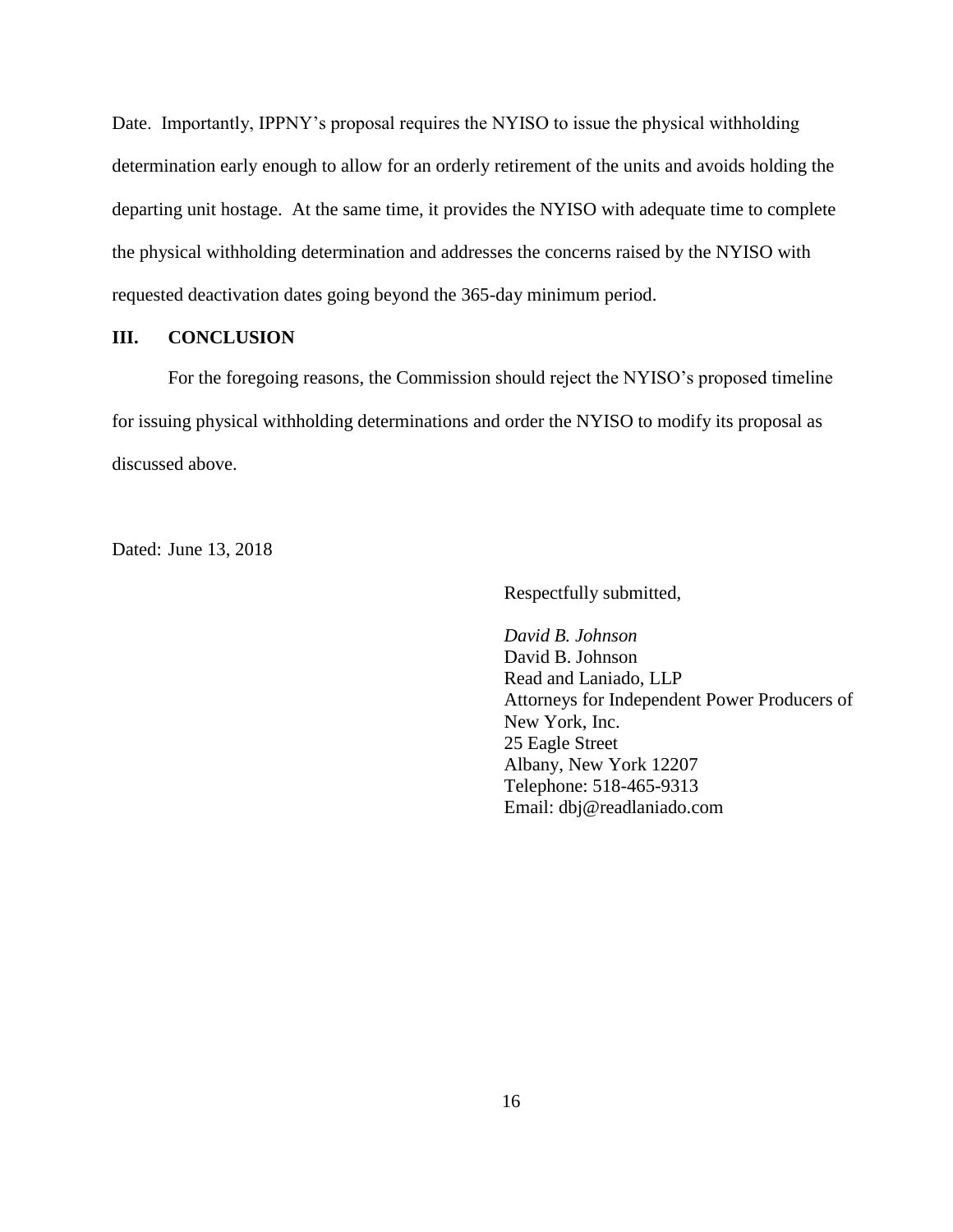Date. Importantly, IPPNY's proposal requires the NYISO to issue the physical withholding determination early enough to allow for an orderly retirement of the units and avoids holding the departing unit hostage. At the same time, it provides the NYISO with adequate time to complete the physical withholding determination and addresses the concerns raised by the NYISO with requested deactivation dates going beyond the 365-day minimum period.

### **III. CONCLUSION**

For the foregoing reasons, the Commission should reject the NYISO's proposed timeline for issuing physical withholding determinations and order the NYISO to modify its proposal as discussed above.

Dated: June 13, 2018

Respectfully submitted,

*David B. Johnson* David B. Johnson Read and Laniado, LLP Attorneys for Independent Power Producers of New York, Inc. 25 Eagle Street Albany, New York 12207 Telephone: 518-465-9313 Email: dbj@readlaniado.com